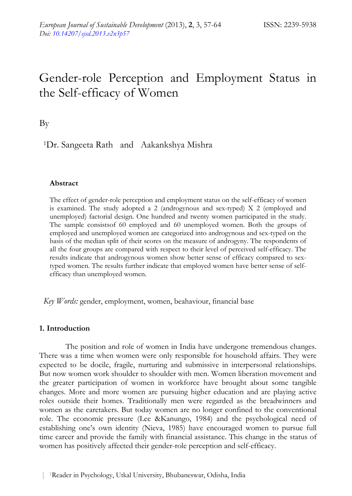# Gender-role Perception and Employment Status in the Self-efficacy of Women

By

1Dr. Sangeeta Rath and Aakankshya Mishra

# **Abstract**

The effect of gender-role perception and employment status on the self-efficacy of women is examined. The study adopted a 2 (androgynous and sex-typed) X 2 (employed and unemployed) factorial design. One hundred and twenty women participated in the study. The sample consistsof 60 employed and 60 unemployed women. Both the groups of employed and unemployed women are categorized into androgynous and sex-typed on the basis of the median split of their scores on the measure of androgyny. The respondents of all the four groups are compared with respect to their level of perceived self-efficacy. The results indicate that androgynous women show better sense of efficacy compared to sextyped women. The results further indicate that employed women have better sense of selfefficacy than unemployed women.

*Key Words:* gender, employment, women, beahaviour, financial base

## **1. Introduction**

The position and role of women in India have undergone tremendous changes. There was a time when women were only responsible for household affairs. They were expected to be docile, fragile, nurturing and submissive in interpersonal relationships. But now women work shoulder to shoulder with men. Women liberation movement and the greater participation of women in workforce have brought about some tangible changes. More and more women are pursuing higher education and are playing active roles outside their homes. Traditionally men were regarded as the breadwinners and women as the caretakers. But today women are no longer confined to the conventional role. The economic pressure (Lee &Kanungo, 1984) and the psychological need of establishing one's own identity (Nieva, 1985) have encouraged women to pursue full time career and provide the family with financial assistance. This change in the status of women has positively affected their gender-role perception and self-efficacy.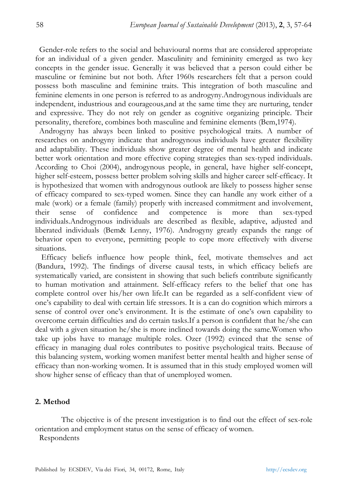Gender-role refers to the social and behavioural norms that are considered appropriate for an individual of a given gender. Masculinity and femininity emerged as two key concepts in the gender issue. Generally it was believed that a person could either be masculine or feminine but not both. After 1960s researchers felt that a person could possess both masculine and feminine traits. This integration of both masculine and feminine elements in one person is referred to as androgyny.Androgynous individuals are independent, industrious and courageous,and at the same time they are nurturing, tender and expressive. They do not rely on gender as cognitive organizing principle. Their personality, therefore, combines both masculine and feminine elements (Bem,1974).

Androgyny has always been linked to positive psychological traits. A number of researches on androgyny indicate that androgynous individuals have greater flexibility and adaptability. These individuals show greater degree of mental health and indicate better work orientation and more effective coping strategies than sex-typed individuals. According to Choi (2004), androgynous people, in general, have higher self-concept, higher self-esteem, possess better problem solving skills and higher career self-efficacy. It is hypothesized that women with androgynous outlook are likely to possess higher sense of efficacy compared to sex-typed women. Since they can handle any work either of a male (work) or a female (family) properly with increased commitment and involvement, their sense of confidence and competence is more than sex-typed individuals.Androgynous individuals are described as flexible, adaptive, adjusted and liberated individuals (Bem& Lenny, 1976). Androgyny greatly expands the range of behavior open to everyone, permitting people to cope more effectively with diverse situations.

 Efficacy beliefs influence how people think, feel, motivate themselves and act (Bandura, 1992). The findings of diverse causal tests, in which efficacy beliefs are systematically varied, are consistent in showing that such beliefs contribute significantly to human motivation and attainment. Self-efficacy refers to the belief that one has complete control over his/her own life.It can be regarded as a self-confident view of one's capability to deal with certain life stressors. It is a can do cognition which mirrors a sense of control over one's environment. It is the estimate of one's own capability to overcome certain difficulties and do certain tasks.If a person is confident that he/she can deal with a given situation he/she is more inclined towards doing the same.Women who take up jobs have to manage multiple roles. Ozer (1992) evinced that the sense of efficacy in managing dual roles contributes to positive psychological traits. Because of this balancing system, working women manifest better mental health and higher sense of efficacy than non-working women. It is assumed that in this study employed women will show higher sense of efficacy than that of unemployed women.

#### **2. Method**

The objective is of the present investigation is to find out the effect of sex-role orientation and employment status on the sense of efficacy of women. Respondents

Published by ECSDEV, Via dei Fiori, 34, 00172, Rome, Italy http://ecsdev.org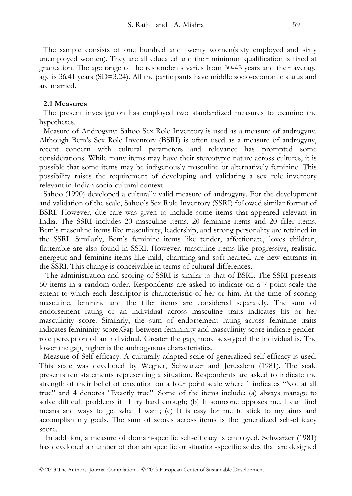The sample consists of one hundred and twenty women(sixty employed and sixty unemployed women). They are all educated and their minimum qualification is fixed at graduation. The age range of the respondents varies from 30-45 years and their average age is 36.41 years (SD=3.24). All the participants have middle socio-economic status and are married.

### **2.1 Measures**

The present investigation has employed two standardized measures to examine the hypotheses.

Measure of Androgyny: Sahoo Sex Role Inventory is used as a measure of androgyny. Although Bem's Sex Role Inventory (BSRI) is often used as a measure of androgyny, recent concern with cultural parameters and relevance has prompted some considerations. While many items may have their stereotypic nature across cultures, it is possible that some items may be indigenously masculine or alternatively feminine. This possibility raises the requirement of developing and validating a sex role inventory relevant in Indian socio-cultural context.

Sahoo (1990) developed a culturally valid measure of androgyny. For the development and validation of the scale, Sahoo's Sex Role Inventory (SSRI) followed similar format of BSRI. However, due care was given to include some items that appeared relevant in India. The SSRI includes 20 masculine items, 20 feminine items and 20 filler items. Bem's masculine items like masculinity, leadership, and strong personality are retained in the SSRI. Similarly, Bem's feminine items like tender, affectionate, loves children, flatterable are also found in SSRI. However, masculine items like progressive, realistic, energetic and feminine items like mild, charming and soft-hearted, are new entrants in the SSRI. This change is conceivable in terms of cultural differences.

 The administration and scoring of SSRI is similar to that of BSRI. The SSRI presents 60 items in a random order. Respondents are asked to indicate on a 7-point scale the extent to which each descriptor is characteristic of her or him. At the time of scoring masculine, feminine and the filler items are considered separately. The sum of endorsement rating of an individual across masculine traits indicates his or her masculinity score. Similarly, the sum of endorsement rating across feminine traits indicates femininity score.Gap between femininity and masculinity score indicate genderrole perception of an individual. Greater the gap, more sex-typed the individual is. The lower the gap, higher is the androgynous characteristics.

Measure of Self-efficacy: A culturally adapted scale of generalized self-efficacy is used. This scale was developed by Wegner, Schwarzer and Jerusalem (1981). The scale presents ten statements representing a situation. Respondents are asked to indicate the strength of their belief of execution on a four point scale where 1 indicates "Not at all true" and 4 denotes "Exactly true". Some of the items include: (a) always manage to solve difficult problems if I try hard enough; (b) If someone opposes me, I can find means and ways to get what I want; (c) It is easy for me to stick to my aims and accomplish my goals. The sum of scores across items is the generalized self-efficacy score.

 In addition, a measure of domain-specific self-efficacy is employed. Schwarzer (1981) has developed a number of domain specific or situation-specific scales that are designed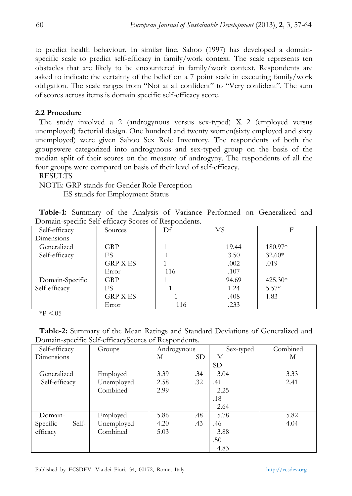to predict health behaviour. In similar line, Sahoo (1997) has developed a domainspecific scale to predict self-efficacy in family/work context. The scale represents ten obstacles that are likely to be encountered in family/work context. Respondents are asked to indicate the certainty of the belief on a 7 point scale in executing family/work obligation. The scale ranges from "Not at all confident" to "Very confident". The sum of scores across items is domain specific self-efficacy score.

#### **2.2 Procedure**

The study involved a 2 (androgynous versus sex-typed) X 2 (employed versus unemployed) factorial design. One hundred and twenty women(sixty employed and sixty unemployed) were given Sahoo Sex Role Inventory. The respondents of both the groupswere categorized into androgynous and sex-typed group on the basis of the median split of their scores on the measure of androgyny. The respondents of all the four groups were compared on basis of their level of self-efficacy.

RESULTS

NOTE: GRP stands for Gender Role Perception ES stands for Employment Status

|                                                      |  |  |  |  |  |  |  |  | Table-1: Summary of the Analysis of Variance Performed on Generalized and |  |
|------------------------------------------------------|--|--|--|--|--|--|--|--|---------------------------------------------------------------------------|--|
| Domain-specific Self-efficacy Scores of Respondents. |  |  |  |  |  |  |  |  |                                                                           |  |

| Self-efficacy   | Sources         | Df  | MS    | F         |
|-----------------|-----------------|-----|-------|-----------|
| Dimensions      |                 |     |       |           |
| Generalized     | <b>GRP</b>      |     | 19.44 | 180.97*   |
| Self-efficacy   | ES              |     | 3.50  | $32.60*$  |
|                 | <b>GRP X ES</b> |     | .002  | .019      |
|                 | Error           | 116 | .107  |           |
| Domain-Specific | GRP             |     | 94.69 | $425.30*$ |
| Self-efficacy   | ES              |     | 1.24  | $5.57*$   |
|                 | <b>GRP X ES</b> |     | .408  | 1.83      |
|                 | Error           | 116 | .233  |           |

 $*P < 05$ 

**Table-2:** Summary of the Mean Ratings and Standard Deviations of Generalized and Domain-specific Self-efficacyScores of Respondents.

| Self-efficacy     | Groups     | Androgynous |           | Sex-typed | Combined |
|-------------------|------------|-------------|-----------|-----------|----------|
| Dimensions        |            | М           | <b>SD</b> | М         | М        |
|                   |            |             |           | <b>SD</b> |          |
| Generalized       | Employed   | 3.39        | .34       | 3.04      | 3.33     |
| Self-efficacy     | Unemployed | 2.58        | .32       | .41       | 2.41     |
|                   | Combined   | 2.99        |           | 2.25      |          |
|                   |            |             |           | .18       |          |
|                   |            |             |           | 2.64      |          |
| Domain-           | Employed   | 5.86        | .48       | 5.78      | 5.82     |
| Specific<br>Self- | Unemployed | 4.20        | .43       | .46       | 4.04     |
| efficacy          | Combined   | 5.03        |           | 3.88      |          |
|                   |            |             |           | .50       |          |
|                   |            |             |           | 4.83      |          |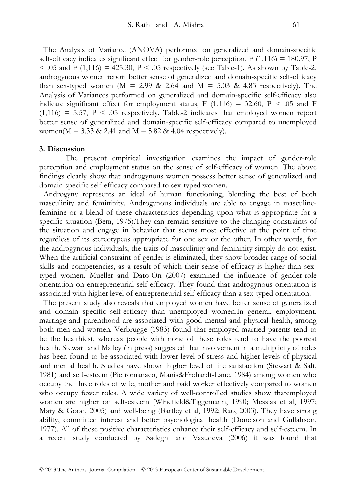The Analysis of Variance (ANOVA) performed on generalized and domain-specific self-efficacy indicates significant effect for gender-role perception,  $F(1,116) = 180.97$ , P  $<$  0.05 and  $\overline{F}$  (1,116) = 425.30, P  $<$  0.05 respectively (see Table-1). As shown by Table-2, androgynous women report better sense of generalized and domain-specific self-efficacy than sex-typed women  $\underline{M} = 2.99$  & 2.64 and  $\underline{M} = 5.03$  & 4.83 respectively). The Analysis of Variances performed on generalized and domain-specific self-efficacy also indicate significant effect for employment status,  $F(1,116) = 32.60$ ,  $P < .05$  and F  $(1,116) = 5.57$ ,  $P \le .05$  respectively. Table-2 indicates that employed women report better sense of generalized and domain-specific self-efficacy compared to unemployed women( $\underline{M}$  = 3.33 & 2.41 and  $\underline{M}$  = 5.82 & 4.04 respectively).

#### **3. Discussion**

 The present empirical investigation examines the impact of gender-role perception and employment status on the sense of self-efficacy of women. The above findings clearly show that androgynous women possess better sense of generalized and domain-specific self-efficacy compared to sex-typed women.

Androgyny represents an ideal of human functioning, blending the best of both masculinity and femininity. Androgynous individuals are able to engage in masculinefeminine or a blend of these characteristics depending upon what is appropriate for a specific situation (Bem, 1975).They can remain sensitive to the changing constraints of the situation and engage in behavior that seems most effective at the point of time regardless of its stereotypeas appropriate for one sex or the other. In other words, for the androgynous individuals, the traits of masculinity and femininity simply do not exist. When the artificial constraint of gender is eliminated, they show broader range of social skills and competencies, as a result of which their sense of efficacy is higher than sextyped women. Mueller and Dato-On (2007) examined the influence of gender-role orientation on entrepreneurial self-efficacy. They found that androgynous orientation is associated with higher level of entrepreneurial self-efficacy than a sex-typed orientation.

The present study also reveals that employed women have better sense of generalized and domain specific self-efficacy than unemployed women.In general, employment, marriage and parenthood are associated with good mental and physical health, among both men and women. Verbrugge (1983) found that employed married parents tend to be the healthiest, whereas people with none of these roles tend to have the poorest health. Stewart and Malley (in press) suggested that involvement in a multiplicity of roles has been found to be associated with lower level of stress and higher levels of physical and mental health. Studies have shown higher level of life satisfaction (Stewart & Salt, 1981) and self-esteem (Pietromanaco, Manis&Frohardt-Lane, 1984) among women who occupy the three roles of wife, mother and paid worker effectively compared to women who occupy fewer roles. A wide variety of well-controlled studies show thatemployed women are higher on self-esteem (Winefield&Tiggemann, 1990; Messias et al, 1997; Mary & Good, 2005) and well-being (Bartley et al, 1992; Rao, 2003). They have strong ability, committed interest and better psychological health (Donelson and Gullahson, 1977). All of these positive characteristics enhance their self-efficacy and self-esteem. In a recent study conducted by Sadeghi and Vasudeva (2006) it was found that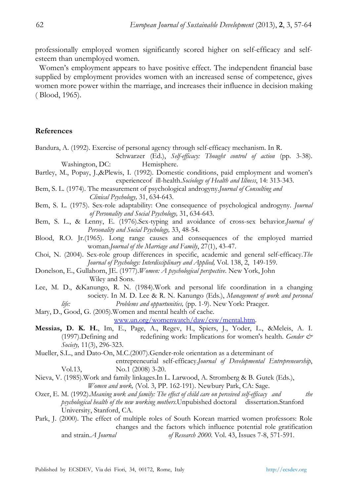professionally employed women significantly scored higher on self-efficacy and selfesteem than unemployed women.

Women's employment appears to have positive effect. The independent financial base supplied by employment provides women with an increased sense of competence, gives women more power within the marriage, and increases their influence in decision making ( Blood, 1965).

#### **References**

Bandura, A. (1992). Exercise of personal agency through self-efficacy mechanism. In R. Schwarzer (Ed.), *Self-efficacy: Thought control of action* (pp. 3-38). Washington, DC: Hemisphere. Bartley, M., Popay, J.,&Plewis, I. (1992). Domestic conditions, paid employment and women's experienceof ill-health.*Sociology of Health and Illness*, 14: 313-343. Bem, S. L. (1974). The measurement of psychological androgyny.*Journal of Consulting and Clinical Psychology,* 31, 634-643. Bem, S. L. (1975). Sex-role adaptability: One consequence of psychological androgyny. *Journal of Personality and Social Psychology,* 31, 634-643. Bem, S. L., & Lenny, E. (1976).Sex-typing and avoidance of cross-sex behavior.*Journal of Personality and Social Psychology,* 33, 48-54. Blood, R.O. Jr.(1965). Long range causes and consequences of the employed married woman.*Journal of the Marriage and Family*, 27(1), 43-47. Choi, N. (2004). Sex-role group differences in specific, academic and general self-efficacy.*The Journal of Psychology: Interdisciplinary and Applied,* Vol. 138, 2, 149-159. Donelson, E., Gullahorn, JE. (1977).*Women: A psychological perspective*. New York, John Wiley and Sons. Lee, M. D., &Kanungo, R. N. (1984).Work and personal life coordination in a changing society. In M. D. Lee & R. N. Kanungo (Eds.), *Management of work and personal life: Problems and oppurtunities, (pp. 1-9).* New York: Praeger. Mary, D., Good, G. (2005).Women and mental health of cache. www.un.org/womenwatch/daw/csw/mental.htm. **Messias, D. K. H.**, Im, E., Page, A., Regev, H., Spiers, J., Yoder, L., &Meleis, A. I. (1997).Defining and redefining work: Implications for women's health. *Gender & Society,* 11(3), 296-323. Mueller, S.L., and Dato-On, M.C.(2007).Gender-role orientation as a determinant of entrepreneurial self-efficacy.*Journal of Developmental Entrepreneurship*, Vol.13, No.1 (2008) 3-20. Nieva, V. (1985).Work and family linkages.In L. Larwood, A. Stromberg & B. Gutek (Eds.), *Women and work,* (Vol. 3, PP. 162-191). Newbury Park, CA: Sage. Ozer, E. M. (1992).*Meaning work and family: The effect of child care on perceived self-efficacy and the psychological health of the new working mothers.*Unpubished doctoral dissertation.Stanford University, Stanford, CA. Park, J. (2000). The effect of multiple roles of South Korean married women professors: Role changes and the factors which influence potential role gratification and strain.*A Journal of Research 2000.* Vol. 43, Issues 7-8, 571-591.